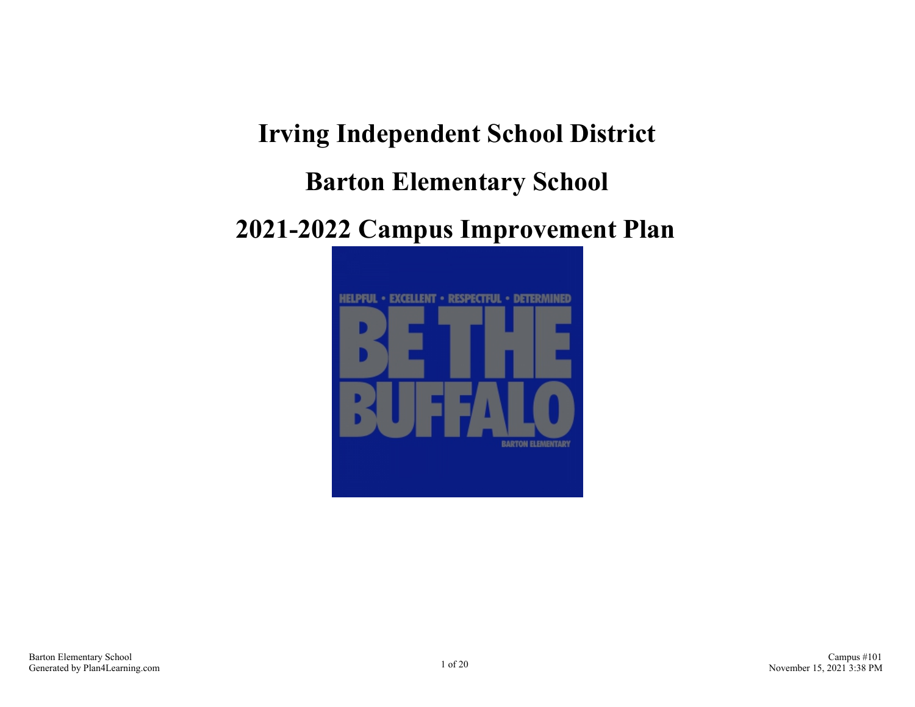**Irving Independent School District**

### **Barton Elementary School**

### **2021-2022 Campus Improvement Plan**

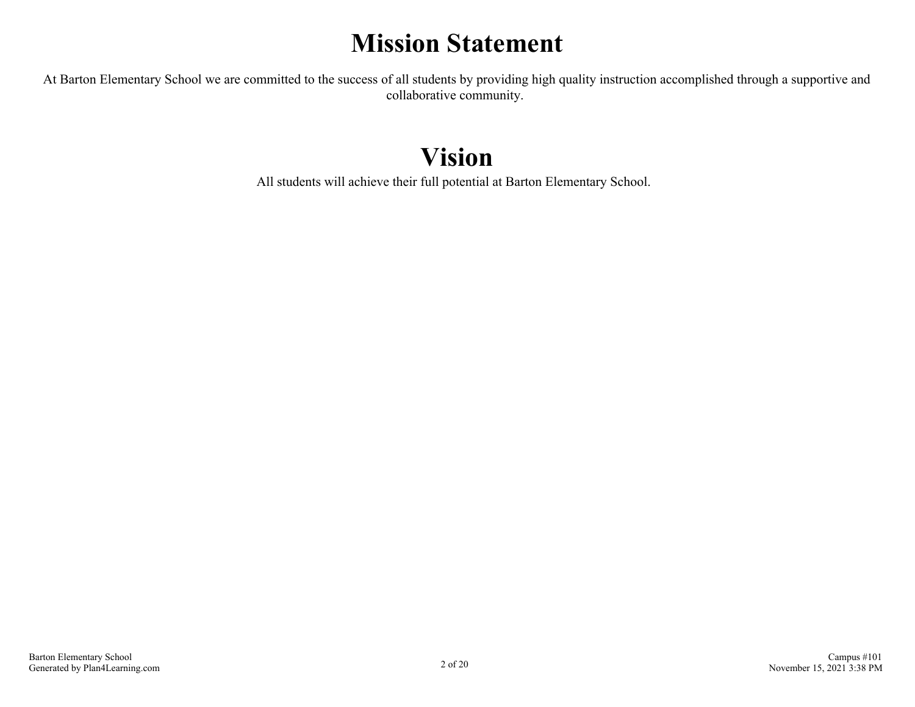### **Mission Statement**

At Barton Elementary School we are committed to the success of all students by providing high quality instruction accomplished through a supportive and collaborative community.

### **Vision**

All students will achieve their full potential at Barton Elementary School.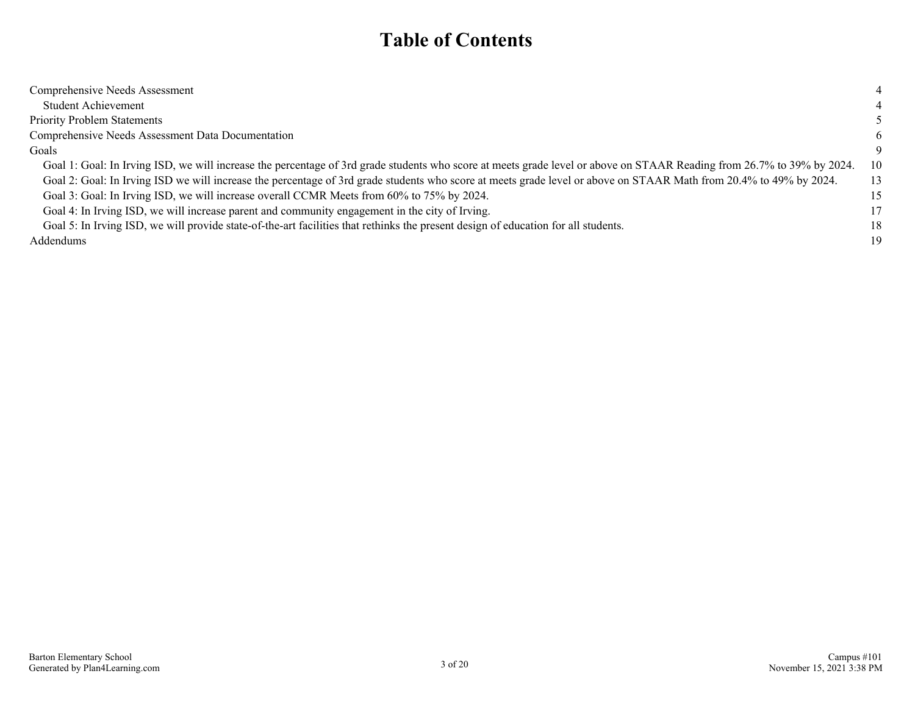### **Table of Contents**

| Comprehensive Needs Assessment                                                                                                                                         | 4  |
|------------------------------------------------------------------------------------------------------------------------------------------------------------------------|----|
|                                                                                                                                                                        |    |
| <b>Student Achievement</b>                                                                                                                                             |    |
| <b>Priority Problem Statements</b>                                                                                                                                     |    |
| Comprehensive Needs Assessment Data Documentation                                                                                                                      | 6  |
| Goals                                                                                                                                                                  | 9  |
| Goal 1: Goal: In Irving ISD, we will increase the percentage of 3rd grade students who score at meets grade level or above on STAAR Reading from 26.7% to 39% by 2024. | 10 |
| Goal 2: Goal: In Irving ISD we will increase the percentage of 3rd grade students who score at meets grade level or above on STAAR Math from 20.4% to 49% by 2024.     | 13 |
| Goal 3: Goal: In Irving ISD, we will increase overall CCMR Meets from 60% to 75% by 2024.                                                                              | 15 |
| Goal 4: In Irving ISD, we will increase parent and community engagement in the city of Irving.                                                                         | 17 |
| Goal 5: In Irving ISD, we will provide state-of-the-art facilities that rethinks the present design of education for all students.                                     | 18 |
| <b>Addendums</b>                                                                                                                                                       | 19 |
|                                                                                                                                                                        |    |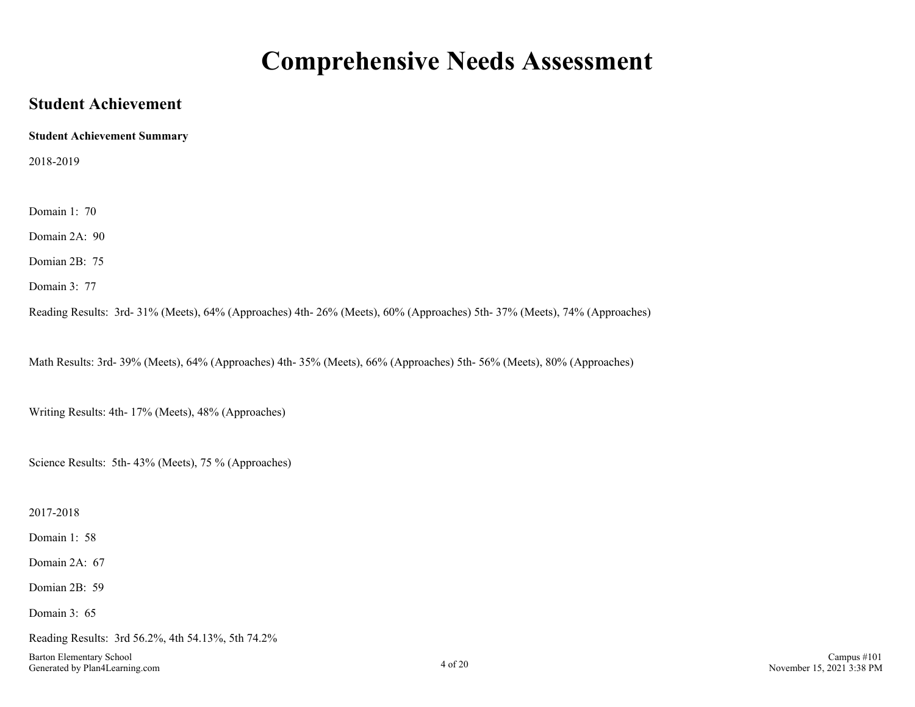### **Comprehensive Needs Assessment**

### <span id="page-3-0"></span>**Student Achievement**

**Student Achievement Summary**

2018-2019

Domain 1: 70

Domain 2A: 90

Domian 2B: 75

Domain 3: 77

Reading Results: 3rd- 31% (Meets), 64% (Approaches) 4th- 26% (Meets), 60% (Approaches) 5th- 37% (Meets), 74% (Approaches)

Math Results: 3rd- 39% (Meets), 64% (Approaches) 4th- 35% (Meets), 66% (Approaches) 5th- 56% (Meets), 80% (Approaches)

Writing Results: 4th- 17% (Meets), 48% (Approaches)

Science Results: 5th- 43% (Meets), 75 % (Approaches)

2017-2018

Domain 1: 58

Domain 2A: 67

Domian 2B: 59

Domain 3: 65

Reading Results: 3rd 56.2%, 4th 54.13%, 5th 74.2%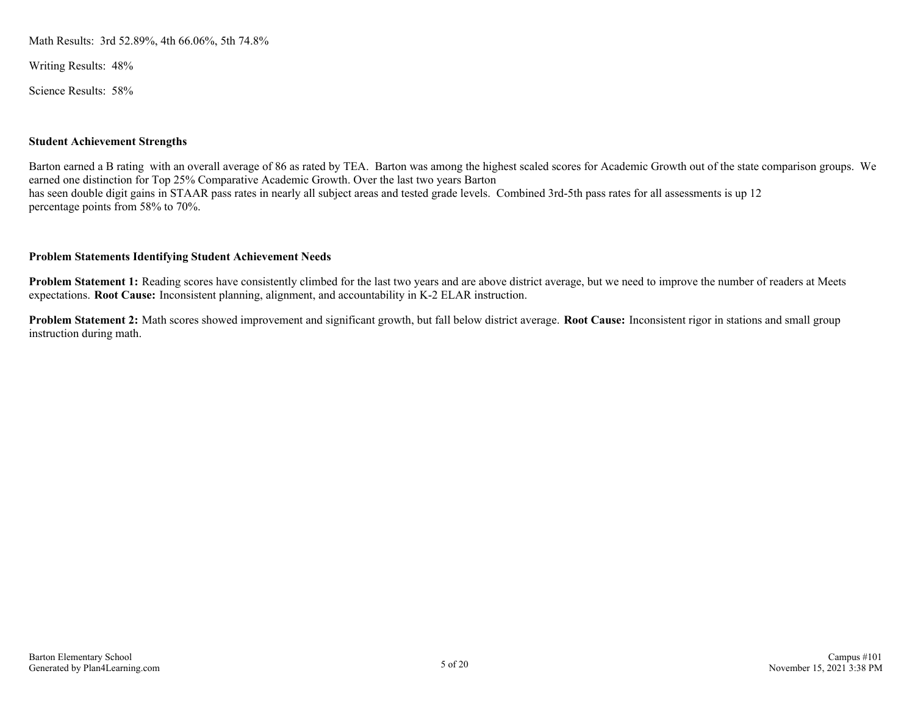Math Results: 3rd 52.89%, 4th 66.06%, 5th 74.8%

Writing Results: 48%

Science Results: 58%

#### **Student Achievement Strengths**

Barton earned a B rating with an overall average of 86 as rated by TEA. Barton was among the highest scaled scores for Academic Growth out of the state comparison groups. We earned one distinction for Top 25% Comparative Academic Growth. Over the last two years Barton has seen double digit gains in STAAR pass rates in nearly all subject areas and tested grade levels. Combined 3rd-5th pass rates for all assessments is up 12 percentage points from 58% to 70%.

#### **Problem Statements Identifying Student Achievement Needs**

**Problem Statement 1:** Reading scores have consistently climbed for the last two years and are above district average, but we need to improve the number of readers at Meets expectations. **Root Cause:** Inconsistent planning, alignment, and accountability in K-2 ELAR instruction.

**Problem Statement 2:** Math scores showed improvement and significant growth, but fall below district average. **Root Cause:** Inconsistent rigor in stations and small group instruction during math.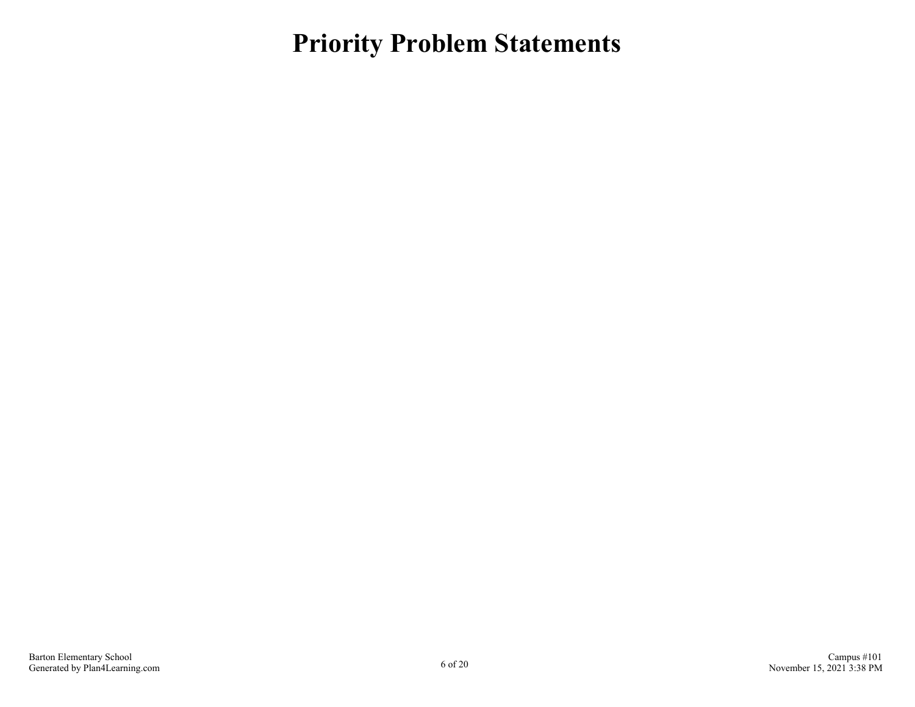<span id="page-5-0"></span>**Priority Problem Statements**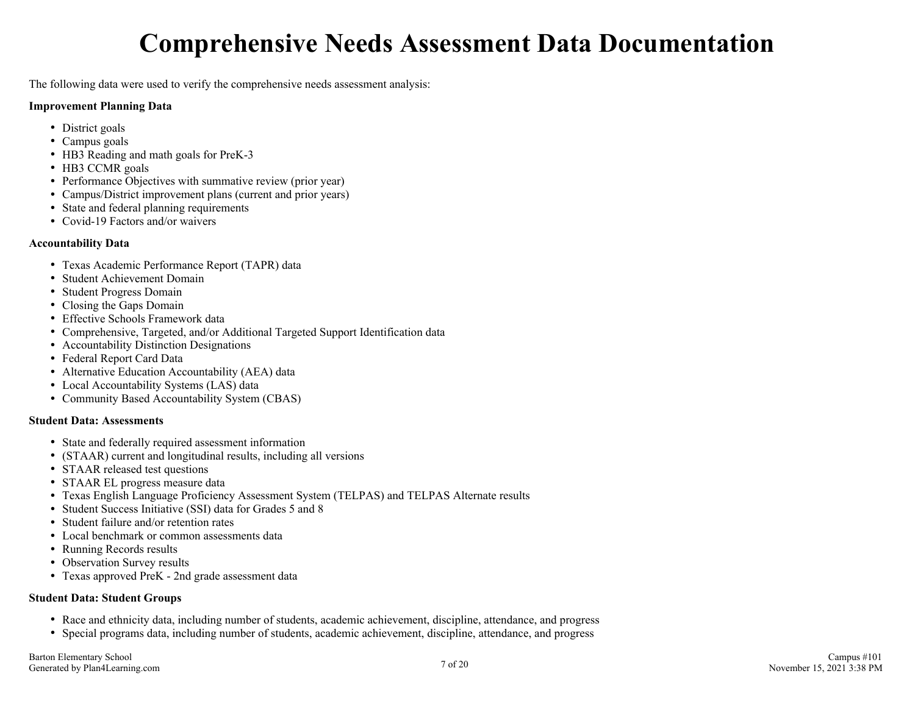# **Comprehensive Needs Assessment Data Documentation**

<span id="page-6-0"></span>The following data were used to verify the comprehensive needs assessment analysis:

#### **Improvement Planning Data**

- District goals
- Campus goals
- HB3 Reading and math goals for PreK-3
- HB3 CCMR goals
- Performance Objectives with summative review (prior year)
- Campus/District improvement plans (current and prior years)
- State and federal planning requirements
- Covid-19 Factors and/or waivers

#### **Accountability Data**

- Texas Academic Performance Report (TAPR) data
- Student Achievement Domain
- Student Progress Domain
- Closing the Gaps Domain
- Effective Schools Framework data
- Comprehensive, Targeted, and/or Additional Targeted Support Identification data
- Accountability Distinction Designations
- Federal Report Card Data
- Alternative Education Accountability (AEA) data
- Local Accountability Systems (LAS) data
- Community Based Accountability System (CBAS)

#### **Student Data: Assessments**

- State and federally required assessment information
- (STAAR) current and longitudinal results, including all versions
- STAAR released test questions
- STAAR EL progress measure data
- Texas English Language Proficiency Assessment System (TELPAS) and TELPAS Alternate results
- Student Success Initiative (SSI) data for Grades 5 and 8
- Student failure and/or retention rates
- Local benchmark or common assessments data
- Running Records results
- Observation Survey results
- Texas approved PreK 2nd grade assessment data

#### **Student Data: Student Groups**

- Race and ethnicity data, including number of students, academic achievement, discipline, attendance, and progress
- Special programs data, including number of students, academic achievement, discipline, attendance, and progress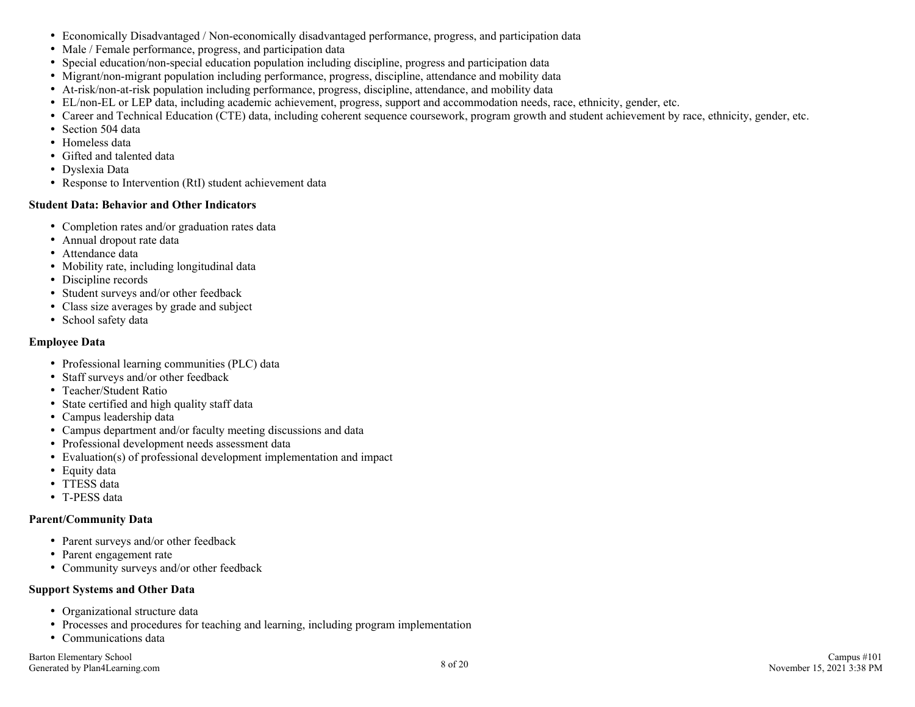- Economically Disadvantaged / Non-economically disadvantaged performance, progress, and participation data
- Male / Female performance, progress, and participation data
- Special education/non-special education population including discipline, progress and participation data
- Migrant/non-migrant population including performance, progress, discipline, attendance and mobility data
- At-risk/non-at-risk population including performance, progress, discipline, attendance, and mobility data
- EL/non-EL or LEP data, including academic achievement, progress, support and accommodation needs, race, ethnicity, gender, etc.
- Career and Technical Education (CTE) data, including coherent sequence coursework, program growth and student achievement by race, ethnicity, gender, etc.
- Section 504 data
- Homeless data
- Gifted and talented data
- Dyslexia Data
- Response to Intervention (RtI) student achievement data

#### **Student Data: Behavior and Other Indicators**

- Completion rates and/or graduation rates data
- Annual dropout rate data
- Attendance data
- Mobility rate, including longitudinal data
- Discipline records
- Student surveys and/or other feedback
- Class size averages by grade and subject
- School safety data

#### **Employee Data**

- Professional learning communities (PLC) data
- Staff surveys and/or other feedback
- Teacher/Student Ratio
- State certified and high quality staff data
- Campus leadership data
- Campus department and/or faculty meeting discussions and data
- Professional development needs assessment data
- Evaluation(s) of professional development implementation and impact
- Equity data
- TTESS data
- T-PESS data

#### **Parent/Community Data**

- Parent surveys and/or other feedback
- Parent engagement rate
- Community surveys and/or other feedback

#### **Support Systems and Other Data**

- Organizational structure data
- Processes and procedures for teaching and learning, including program implementation
- Communications data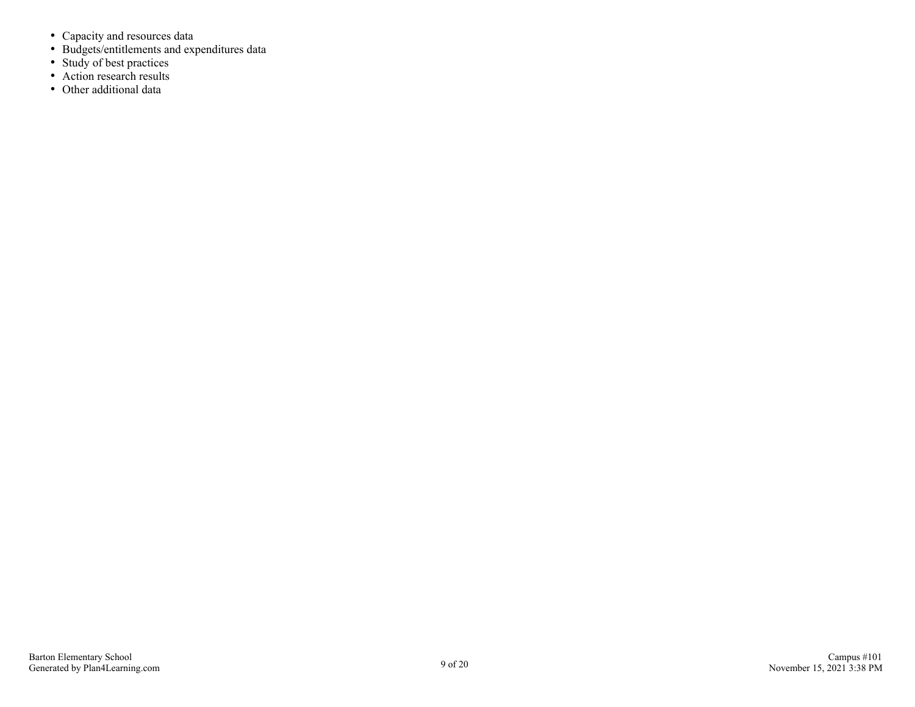- Capacity and resources data
- Budgets/entitlements and expenditures data
- Study of best practices
- Action research results
- Other additional data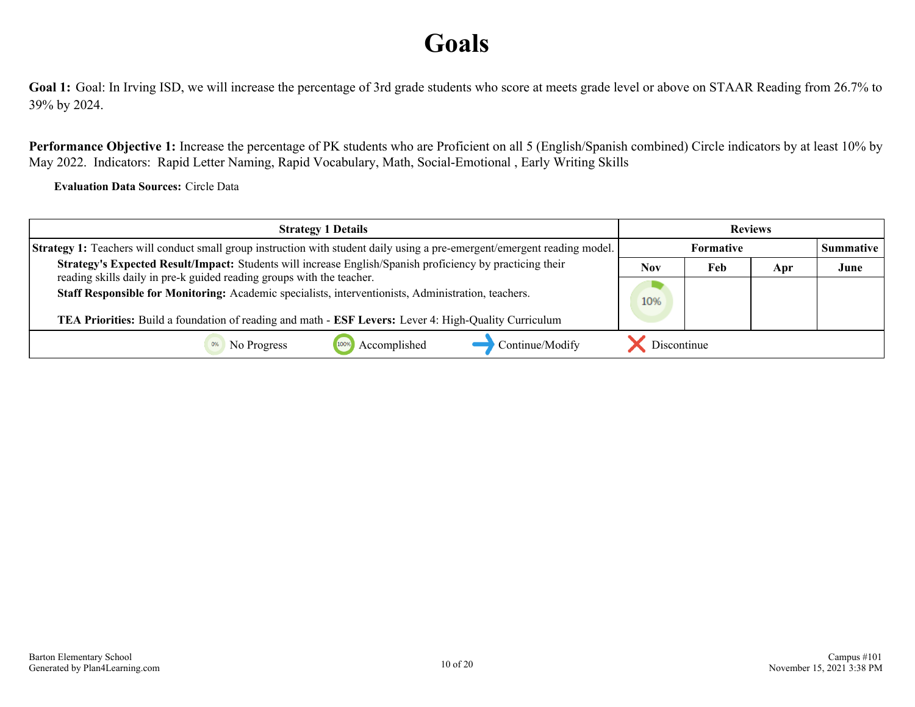# **Goals**

<span id="page-9-0"></span>Goal 1: Goal: In Irving ISD, we will increase the percentage of 3rd grade students who score at meets grade level or above on STAAR Reading from 26.7% to 39% by 2024.

**Performance Objective 1:** Increase the percentage of PK students who are Proficient on all 5 (English/Spanish combined) Circle indicators by at least 10% by May 2022. Indicators: Rapid Letter Naming, Rapid Vocabulary, Math, Social-Emotional , Early Writing Skills

**Evaluation Data Sources:** Circle Data

| <b>Strategy 1 Details</b>                                                                                                                                                          | <b>Reviews</b> |                  |     |      |
|------------------------------------------------------------------------------------------------------------------------------------------------------------------------------------|----------------|------------------|-----|------|
| <b>Strategy 1:</b> Teachers will conduct small group instruction with student daily using a pre-emergent/emergent reading model.                                                   |                | <b>Formative</b> |     |      |
| Strategy's Expected Result/Impact: Students will increase English/Spanish proficiency by practicing their<br>reading skills daily in pre-k guided reading groups with the teacher. | Nov            | Feb              | Apr | June |
| Staff Responsible for Monitoring: Academic specialists, interventionists, Administration, teachers.                                                                                | 10%            |                  |     |      |
| TEA Priorities: Build a foundation of reading and math - ESF Levers: Lever 4: High-Quality Curriculum                                                                              |                |                  |     |      |
| Accomplished<br>Continue/Modify<br>No Progress<br>1009                                                                                                                             | Discontinue    |                  |     |      |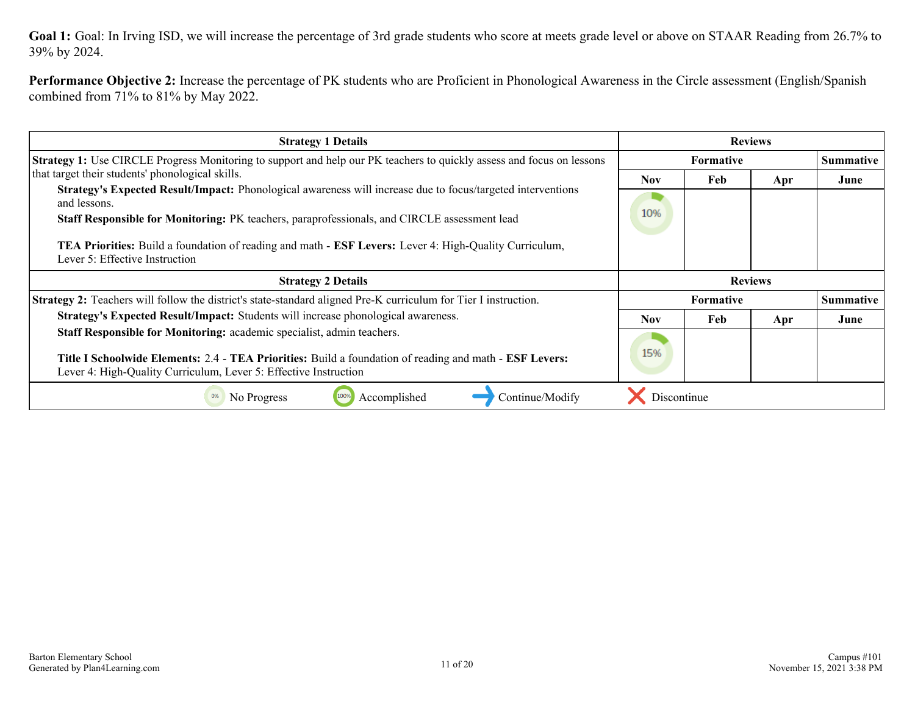Goal 1: Goal: In Irving ISD, we will increase the percentage of 3rd grade students who score at meets grade level or above on STAAR Reading from 26.7% to 39% by 2024.

**Performance Objective 2:** Increase the percentage of PK students who are Proficient in Phonological Awareness in the Circle assessment (English/Spanish combined from 71% to 81% by May 2022.

| <b>Strategy 1 Details</b>                                                                                                                                                                                                                             | <b>Reviews</b> |                  |                |                  |
|-------------------------------------------------------------------------------------------------------------------------------------------------------------------------------------------------------------------------------------------------------|----------------|------------------|----------------|------------------|
| Strategy 1: Use CIRCLE Progress Monitoring to support and help our PK teachers to quickly assess and focus on lessons                                                                                                                                 | Formative      |                  |                | <b>Summative</b> |
| that target their students' phonological skills.                                                                                                                                                                                                      | <b>Nov</b>     | Feb              | Apr            | June             |
| Strategy's Expected Result/Impact: Phonological awareness will increase due to focus/targeted interventions<br>and lessons.                                                                                                                           |                |                  |                |                  |
| Staff Responsible for Monitoring: PK teachers, paraprofessionals, and CIRCLE assessment lead                                                                                                                                                          | 10%            |                  |                |                  |
| <b>TEA Priorities:</b> Build a foundation of reading and math - <b>ESF Levers:</b> Lever 4: High-Quality Curriculum,<br>Lever 5: Effective Instruction                                                                                                |                |                  |                |                  |
|                                                                                                                                                                                                                                                       |                |                  |                |                  |
| <b>Strategy 2 Details</b>                                                                                                                                                                                                                             |                |                  | <b>Reviews</b> |                  |
| <b>Strategy 2:</b> Teachers will follow the district's state-standard aligned Pre-K curriculum for Tier I instruction.                                                                                                                                |                | <b>Formative</b> |                | Summative        |
| Strategy's Expected Result/Impact: Students will increase phonological awareness.                                                                                                                                                                     | <b>Nov</b>     | Feb              | Apr            | June             |
| Staff Responsible for Monitoring: academic specialist, admin teachers.<br>Title I Schoolwide Elements: 2.4 - TEA Priorities: Build a foundation of reading and math - ESF Levers:<br>Lever 4: High-Quality Curriculum, Lever 5: Effective Instruction | 15%            |                  |                |                  |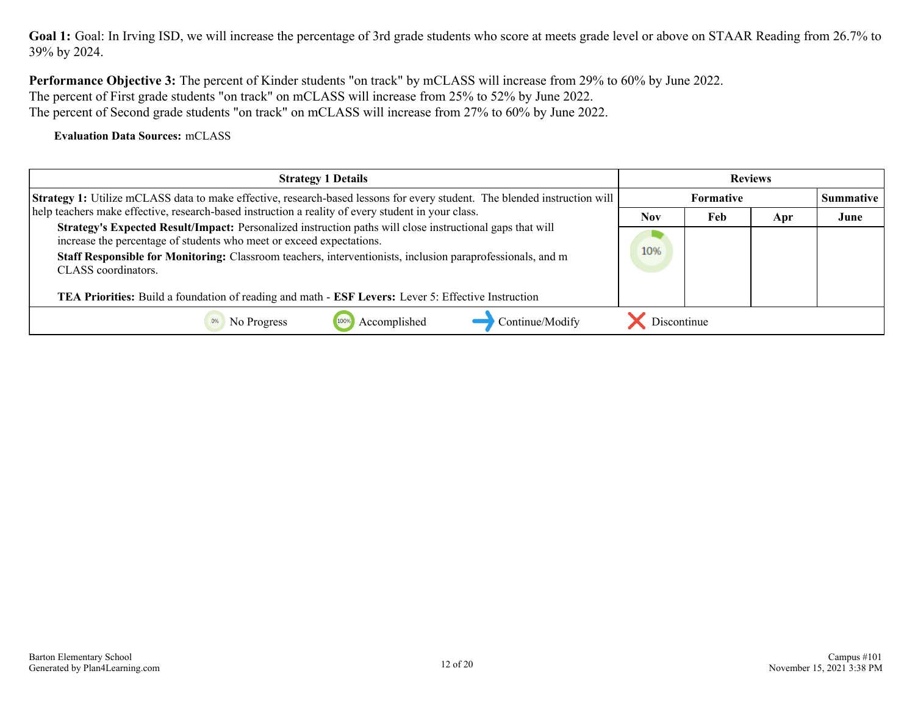Goal 1: Goal: In Irving ISD, we will increase the percentage of 3rd grade students who score at meets grade level or above on STAAR Reading from 26.7% to 39% by 2024.

**Performance Objective 3:** The percent of Kinder students "on track" by mCLASS will increase from 29% to 60% by June 2022. The percent of First grade students "on track" on mCLASS will increase from 25% to 52% by June 2022. The percent of Second grade students "on track" on mCLASS will increase from 27% to 60% by June 2022.

**Evaluation Data Sources:** mCLASS

| <b>Strategy 1 Details</b>                                                                                                                                                                                                                                                                                                                                                                                                     | <b>Reviews</b> |                  |     |                  |
|-------------------------------------------------------------------------------------------------------------------------------------------------------------------------------------------------------------------------------------------------------------------------------------------------------------------------------------------------------------------------------------------------------------------------------|----------------|------------------|-----|------------------|
| Strategy 1: Utilize mCLASS data to make effective, research-based lessons for every student. The blended instruction will                                                                                                                                                                                                                                                                                                     |                | <b>Formative</b> |     | <b>Summative</b> |
| help teachers make effective, research-based instruction a reality of every student in your class.                                                                                                                                                                                                                                                                                                                            | <b>Nov</b>     | Feb              | Apr | June             |
| Strategy's Expected Result/Impact: Personalized instruction paths will close instructional gaps that will<br>increase the percentage of students who meet or exceed expectations.<br>Staff Responsible for Monitoring: Classroom teachers, interventionists, inclusion paraprofessionals, and m<br>CLASS coordinators.<br>TEA Priorities: Build a foundation of reading and math - ESF Levers: Lever 5: Effective Instruction | 10%            |                  |     |                  |
| Accomplished<br>Continue/Modify<br>No Progress                                                                                                                                                                                                                                                                                                                                                                                | Discontinue    |                  |     |                  |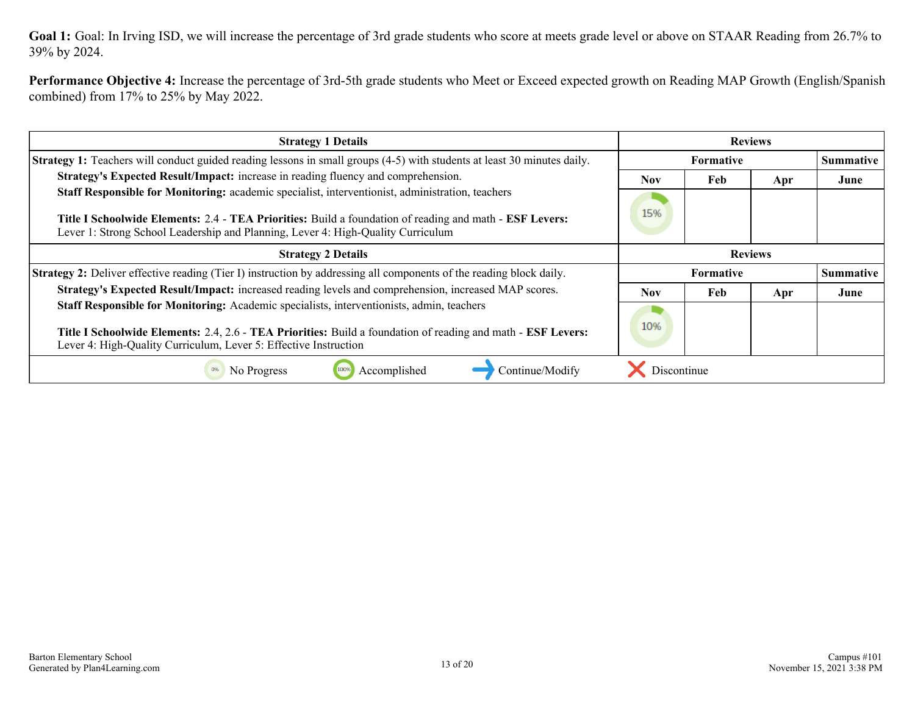Goal 1: Goal: In Irving ISD, we will increase the percentage of 3rd grade students who score at meets grade level or above on STAAR Reading from 26.7% to 39% by 2024.

**Performance Objective 4:** Increase the percentage of 3rd-5th grade students who Meet or Exceed expected growth on Reading MAP Growth (English/Spanish combined) from 17% to 25% by May 2022.

| <b>Strategy 1 Details</b>                                                                                                                                                                   | <b>Reviews</b>   |     |     |                  |
|---------------------------------------------------------------------------------------------------------------------------------------------------------------------------------------------|------------------|-----|-----|------------------|
| <b>Strategy 1:</b> Teachers will conduct guided reading lessons in small groups (4-5) with students at least 30 minutes daily.                                                              | <b>Formative</b> |     |     | <b>Summative</b> |
| Strategy's Expected Result/Impact: increase in reading fluency and comprehension.                                                                                                           | <b>Nov</b>       | Feb | Apr | June             |
| Staff Responsible for Monitoring: academic specialist, interventionist, administration, teachers                                                                                            |                  |     |     |                  |
| Title I Schoolwide Elements: 2.4 - TEA Priorities: Build a foundation of reading and math - ESF Levers:<br>Lever 1: Strong School Leadership and Planning, Lever 4: High-Quality Curriculum | 15%              |     |     |                  |
| <b>Strategy 2 Details</b>                                                                                                                                                                   | <b>Reviews</b>   |     |     |                  |
| Strategy 2: Deliver effective reading (Tier I) instruction by addressing all components of the reading block daily.                                                                         | <b>Formative</b> |     |     | <b>Summative</b> |
| Strategy's Expected Result/Impact: increased reading levels and comprehension, increased MAP scores.                                                                                        | <b>Nov</b>       | Feb | Apr | June             |
| Staff Responsible for Monitoring: Academic specialists, interventionists, admin, teachers                                                                                                   |                  |     |     |                  |
| Title I Schoolwide Elements: 2.4, 2.6 - TEA Priorities: Build a foundation of reading and math - ESF Levers:<br>Lever 4: High-Quality Curriculum, Lever 5: Effective Instruction            | 10%              |     |     |                  |
| Accomplished<br>Continue/Modify<br>100%<br>No Progress                                                                                                                                      | Discontinue      |     |     |                  |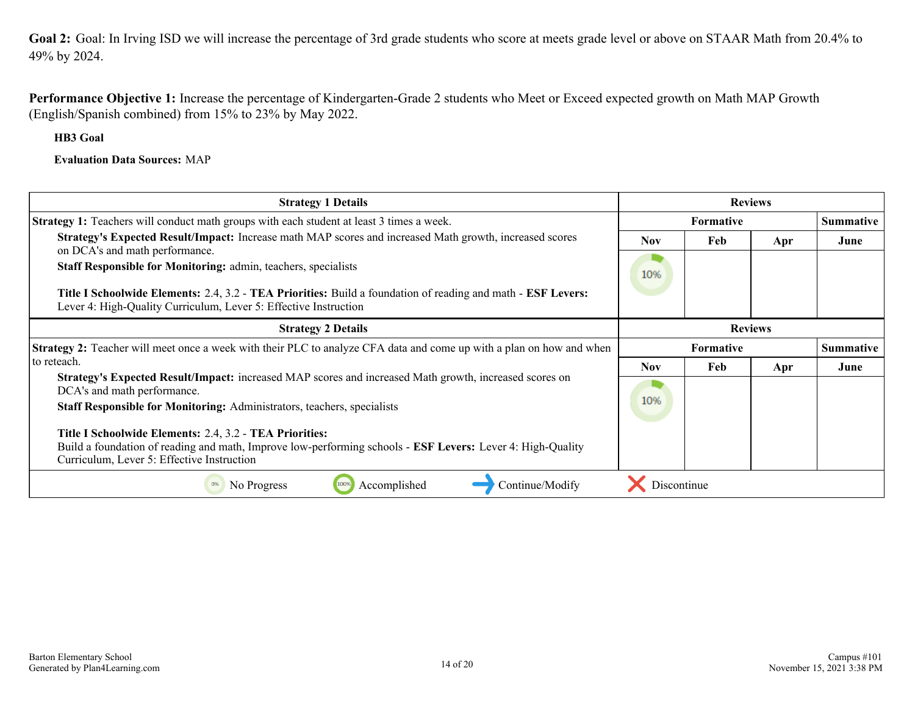<span id="page-13-0"></span>**Goal 2:** Goal: In Irving ISD we will increase the percentage of 3rd grade students who score at meets grade level or above on STAAR Math from 20.4% to 49% by 2024.

**Performance Objective 1:** Increase the percentage of Kindergarten-Grade 2 students who Meet or Exceed expected growth on Math MAP Growth (English/Spanish combined) from 15% to 23% by May 2022.

**HB3 Goal**

**Evaluation Data Sources:** MAP

| <b>Strategy 1 Details</b>                                                                                                                                | <b>Reviews</b>   |                  |     |                  |
|----------------------------------------------------------------------------------------------------------------------------------------------------------|------------------|------------------|-----|------------------|
| <b>Strategy 1:</b> Teachers will conduct math groups with each student at least 3 times a week.                                                          | <b>Formative</b> |                  |     | <b>Summative</b> |
| Strategy's Expected Result/Impact: Increase math MAP scores and increased Math growth, increased scores                                                  | <b>Nov</b>       | Feb              | Apr | June             |
| on DCA's and math performance.<br>Staff Responsible for Monitoring: admin, teachers, specialists                                                         |                  |                  |     |                  |
|                                                                                                                                                          | 10%              |                  |     |                  |
| Title I Schoolwide Elements: 2.4, 3.2 - TEA Priorities: Build a foundation of reading and math - ESF Levers:                                             |                  |                  |     |                  |
| Lever 4: High-Quality Curriculum, Lever 5: Effective Instruction                                                                                         |                  |                  |     |                  |
| <b>Strategy 2 Details</b>                                                                                                                                | <b>Reviews</b>   |                  |     |                  |
| <b>Strategy 2:</b> Teacher will meet once a week with their PLC to analyze CFA data and come up with a plan on how and when                              |                  | <b>Formative</b> |     | <b>Summative</b> |
| to reteach.                                                                                                                                              | <b>Nov</b>       | Feb              | Apr | June             |
| Strategy's Expected Result/Impact: increased MAP scores and increased Math growth, increased scores on<br>DCA's and math performance.                    |                  |                  |     |                  |
| <b>Staff Responsible for Monitoring: Administrators, teachers, specialists</b>                                                                           | 10%              |                  |     |                  |
|                                                                                                                                                          |                  |                  |     |                  |
| Title I Schoolwide Elements: 2.4, 3.2 - TEA Priorities:                                                                                                  |                  |                  |     |                  |
| Build a foundation of reading and math, Improve low-performing schools - ESF Levers: Lever 4: High-Quality<br>Curriculum, Lever 5: Effective Instruction |                  |                  |     |                  |
| Continue/Modify<br>Accomplished<br>No Progress                                                                                                           | Discontinue      |                  |     |                  |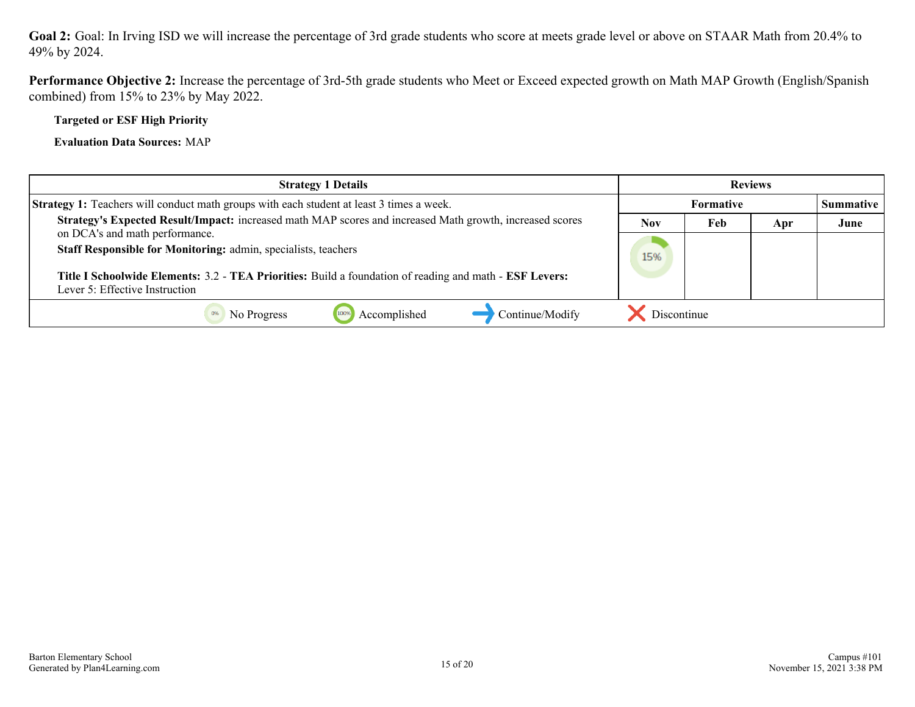**Goal 2:** Goal: In Irving ISD we will increase the percentage of 3rd grade students who score at meets grade level or above on STAAR Math from 20.4% to 49% by 2024.

**Performance Objective 2:** Increase the percentage of 3rd-5th grade students who Meet or Exceed expected growth on Math MAP Growth (English/Spanish combined) from 15% to 23% by May 2022.

**Targeted or ESF High Priority**

**Evaluation Data Sources:** MAP

| <b>Strategy 1 Details</b>                                                                                                                 | <b>Reviews</b>   |     |     |                  |
|-------------------------------------------------------------------------------------------------------------------------------------------|------------------|-----|-----|------------------|
| <b>Strategy 1:</b> Teachers will conduct math groups with each student at least 3 times a week.                                           | <b>Formative</b> |     |     | <b>Summative</b> |
| Strategy's Expected Result/Impact: increased math MAP scores and increased Math growth, increased scores                                  | Nov              | Feb | Apr | June             |
| on DCA's and math performance.<br>Staff Responsible for Monitoring: admin, specialists, teachers                                          | 15%              |     |     |                  |
| Title I Schoolwide Elements: 3.2 - TEA Priorities: Build a foundation of reading and math - ESF Levers:<br>Lever 5: Effective Instruction |                  |     |     |                  |
| Continue/Modify<br>Accomplished<br>No Progress                                                                                            | Discontinue      |     |     |                  |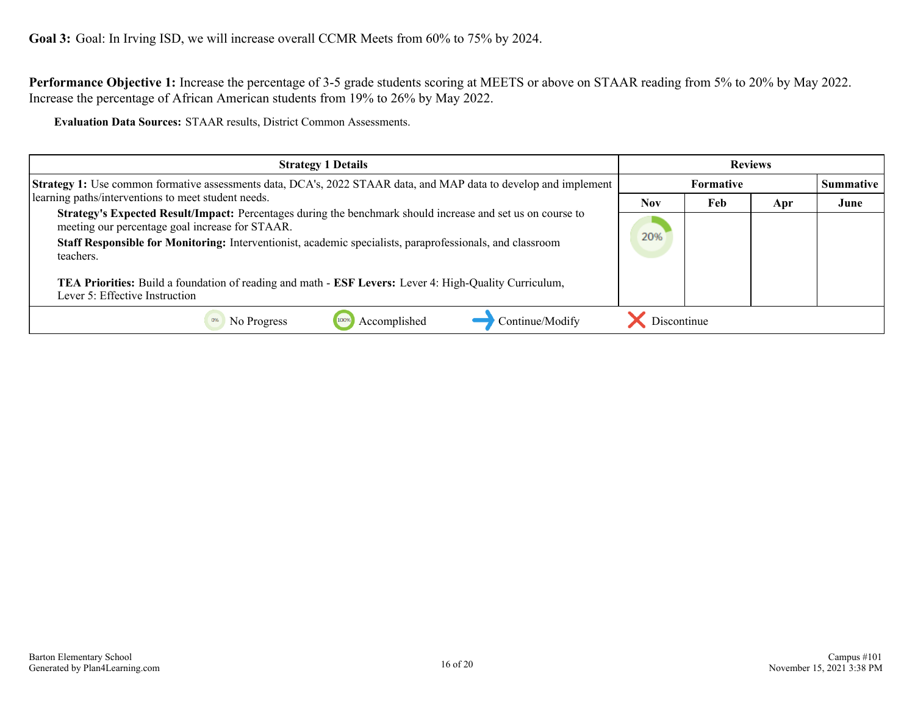<span id="page-15-0"></span>**Performance Objective 1:** Increase the percentage of 3-5 grade students scoring at MEETS or above on STAAR reading from 5% to 20% by May 2022. Increase the percentage of African American students from 19% to 26% by May 2022.

**Evaluation Data Sources:** STAAR results, District Common Assessments.

| <b>Strategy 1 Details</b>                                                                                                                                                                                                                                                                | <b>Reviews</b>   |     |     |           |
|------------------------------------------------------------------------------------------------------------------------------------------------------------------------------------------------------------------------------------------------------------------------------------------|------------------|-----|-----|-----------|
| <b>Strategy 1:</b> Use common formative assessments data, DCA's, 2022 STAAR data, and MAP data to develop and implement                                                                                                                                                                  | <b>Formative</b> |     |     | Summative |
| learning paths/interventions to meet student needs.                                                                                                                                                                                                                                      | Nov              | Feb | Apr | June      |
| Strategy's Expected Result/Impact: Percentages during the benchmark should increase and set us on course to<br>meeting our percentage goal increase for STAAR.<br>Staff Responsible for Monitoring: Interventionist, academic specialists, paraprofessionals, and classroom<br>teachers. | 20%              |     |     |           |
| TEA Priorities: Build a foundation of reading and math - ESF Levers: Lever 4: High-Quality Curriculum,<br>Lever 5: Effective Instruction                                                                                                                                                 |                  |     |     |           |
| Accomplished<br>Continue/Modify<br>100%<br>No Progress                                                                                                                                                                                                                                   | Discontinue      |     |     |           |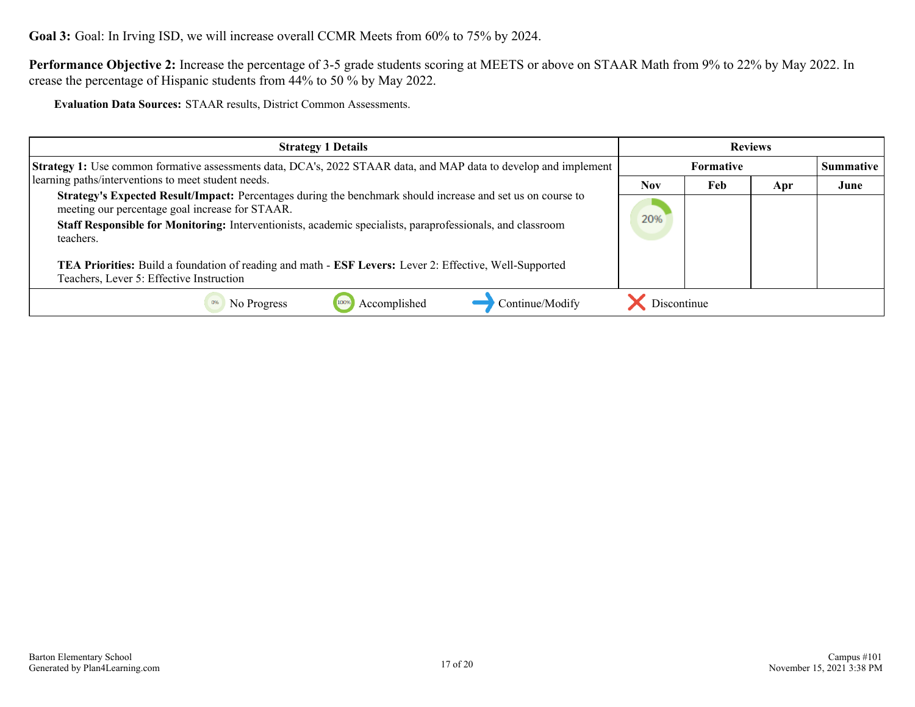**Goal 3:** Goal: In Irving ISD, we will increase overall CCMR Meets from 60% to 75% by 2024.

**Performance Objective 2:** Increase the percentage of 3-5 grade students scoring at MEETS or above on STAAR Math from 9% to 22% by May 2022. In crease the percentage of Hispanic students from 44% to 50 % by May 2022.

**Evaluation Data Sources:** STAAR results, District Common Assessments.

| <b>Strategy 1 Details</b>                                                                                                                                                                                                                                                                                                                                                                                                                        | <b>Reviews</b> |                  |     |           |
|--------------------------------------------------------------------------------------------------------------------------------------------------------------------------------------------------------------------------------------------------------------------------------------------------------------------------------------------------------------------------------------------------------------------------------------------------|----------------|------------------|-----|-----------|
| <b>Strategy 1:</b> Use common formative assessments data, DCA's, 2022 STAAR data, and MAP data to develop and implement                                                                                                                                                                                                                                                                                                                          |                | <b>Formative</b> |     | Summative |
| learning paths/interventions to meet student needs.                                                                                                                                                                                                                                                                                                                                                                                              | <b>Nov</b>     | Feb              | Apr | June      |
| Strategy's Expected Result/Impact: Percentages during the benchmark should increase and set us on course to<br>meeting our percentage goal increase for STAAR.<br>Staff Responsible for Monitoring: Interventionists, academic specialists, paraprofessionals, and classroom<br>teachers.<br>TEA Priorities: Build a foundation of reading and math - ESF Levers: Lever 2: Effective, Well-Supported<br>Teachers, Lever 5: Effective Instruction | 20%            |                  |     |           |
| Accomplished<br>Continue/Modify<br>No Progress                                                                                                                                                                                                                                                                                                                                                                                                   | Discontinue    |                  |     |           |
|                                                                                                                                                                                                                                                                                                                                                                                                                                                  |                |                  |     |           |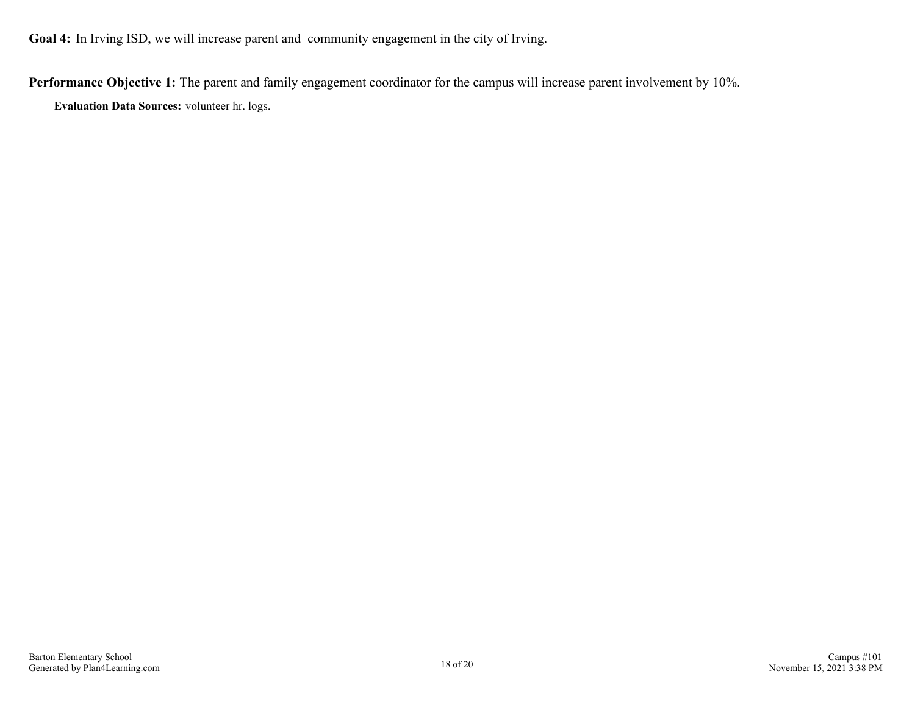<span id="page-17-0"></span>**Goal 4:** In Irving ISD, we will increase parent and community engagement in the city of Irving.

**Performance Objective 1:** The parent and family engagement coordinator for the campus will increase parent involvement by 10%.

**Evaluation Data Sources:** volunteer hr. logs.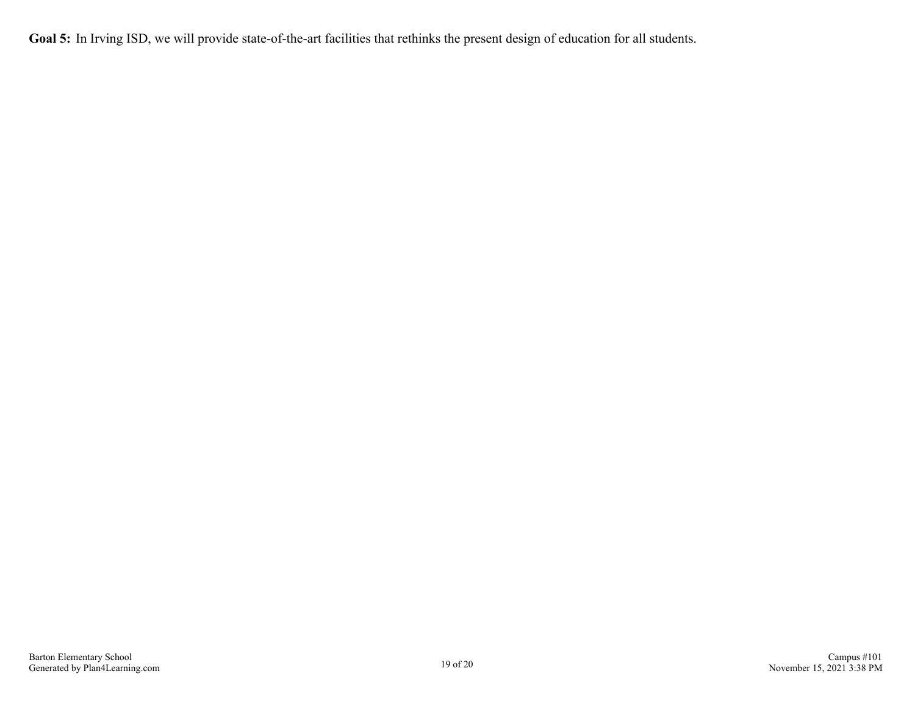<span id="page-18-0"></span>Goal 5: In Irving ISD, we will provide state-of-the-art facilities that rethinks the present design of education for all students.